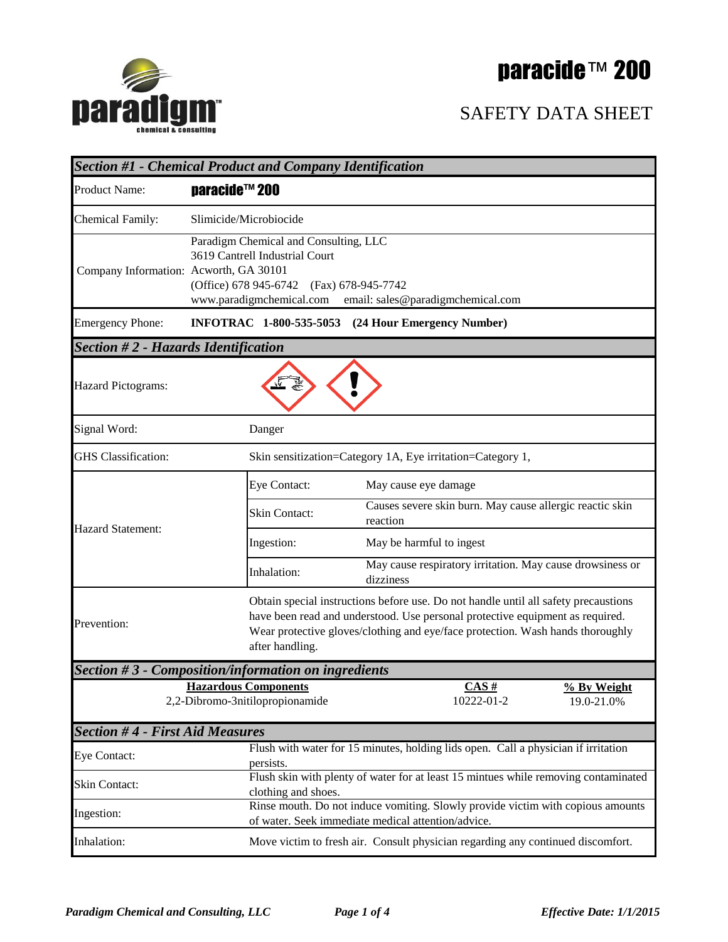# paracide™ 200



#### SAFETY DATA SHEET

| <b>Section #1 - Chemical Product and Company Identification</b> |                                                                                                                                                                                   |                                                                                                                                                                                                                                                        |                           |  |
|-----------------------------------------------------------------|-----------------------------------------------------------------------------------------------------------------------------------------------------------------------------------|--------------------------------------------------------------------------------------------------------------------------------------------------------------------------------------------------------------------------------------------------------|---------------------------|--|
| Product Name:                                                   | paracide™ 200                                                                                                                                                                     |                                                                                                                                                                                                                                                        |                           |  |
| <b>Chemical Family:</b>                                         | Slimicide/Microbiocide                                                                                                                                                            |                                                                                                                                                                                                                                                        |                           |  |
| Company Information: Acworth, GA 30101                          | Paradigm Chemical and Consulting, LLC<br>3619 Cantrell Industrial Court<br>(Office) 678 945-6742 (Fax) 678-945-7742<br>www.paradigmchemical.com email: sales@paradigmchemical.com |                                                                                                                                                                                                                                                        |                           |  |
| <b>Emergency Phone:</b>                                         |                                                                                                                                                                                   | INFOTRAC 1-800-535-5053 (24 Hour Emergency Number)                                                                                                                                                                                                     |                           |  |
| <b>Section #2 - Hazards Identification</b>                      |                                                                                                                                                                                   |                                                                                                                                                                                                                                                        |                           |  |
| Hazard Pictograms:                                              |                                                                                                                                                                                   |                                                                                                                                                                                                                                                        |                           |  |
| Signal Word:                                                    | Danger                                                                                                                                                                            |                                                                                                                                                                                                                                                        |                           |  |
| <b>GHS</b> Classification:                                      |                                                                                                                                                                                   | Skin sensitization=Category 1A, Eye irritation=Category 1,                                                                                                                                                                                             |                           |  |
|                                                                 | Eye Contact:                                                                                                                                                                      | May cause eye damage                                                                                                                                                                                                                                   |                           |  |
| <b>Hazard Statement:</b>                                        | Skin Contact:                                                                                                                                                                     | Causes severe skin burn. May cause allergic reactic skin<br>reaction                                                                                                                                                                                   |                           |  |
|                                                                 | Ingestion:                                                                                                                                                                        | May be harmful to ingest                                                                                                                                                                                                                               |                           |  |
|                                                                 | Inhalation:                                                                                                                                                                       | May cause respiratory irritation. May cause drowsiness or<br>dizziness                                                                                                                                                                                 |                           |  |
| Prevention:                                                     | after handling.                                                                                                                                                                   | Obtain special instructions before use. Do not handle until all safety precaustions<br>have been read and understood. Use personal protective equipment as required.<br>Wear protective gloves/clothing and eye/face protection. Wash hands thoroughly |                           |  |
|                                                                 | Section #3 - Composition/information on ingredients                                                                                                                               |                                                                                                                                                                                                                                                        |                           |  |
| <b>Hazardous Components</b><br>2,2-Dibromo-3nitilopropionamide  |                                                                                                                                                                                   | CAS#<br>10222-01-2                                                                                                                                                                                                                                     | % By Weight<br>19.0-21.0% |  |
| <b>Section #4 - First Aid Measures</b>                          |                                                                                                                                                                                   |                                                                                                                                                                                                                                                        |                           |  |
| Eye Contact:                                                    | persists.                                                                                                                                                                         | Flush with water for 15 minutes, holding lids open. Call a physician if irritation                                                                                                                                                                     |                           |  |
| Skin Contact:                                                   | clothing and shoes.                                                                                                                                                               | Flush skin with plenty of water for at least 15 mintues while removing contaminated                                                                                                                                                                    |                           |  |
| Ingestion:                                                      | Rinse mouth. Do not induce vomiting. Slowly provide victim with copious amounts<br>of water. Seek immediate medical attention/advice.                                             |                                                                                                                                                                                                                                                        |                           |  |
| Inhalation:                                                     |                                                                                                                                                                                   | Move victim to fresh air. Consult physician regarding any continued discomfort.                                                                                                                                                                        |                           |  |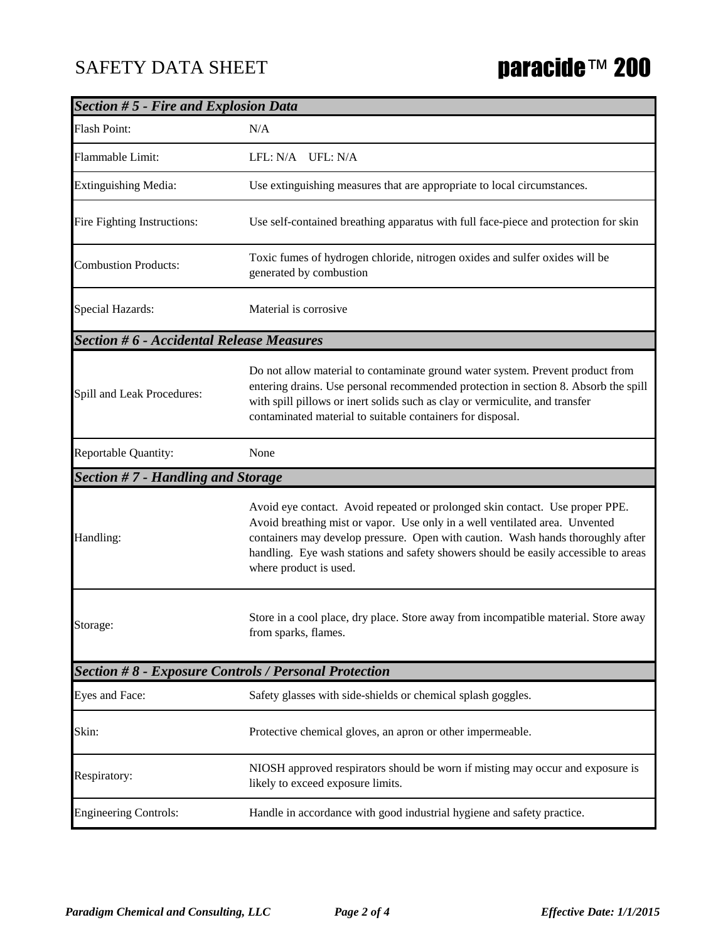### SAFETY DATA SHEET **paracide™ 200**

| <b>Section #5 - Fire and Explosion Data</b>     |                                                                                                                                                                                                                                                                                                                                                                 |  |  |
|-------------------------------------------------|-----------------------------------------------------------------------------------------------------------------------------------------------------------------------------------------------------------------------------------------------------------------------------------------------------------------------------------------------------------------|--|--|
| <b>Flash Point:</b>                             | N/A                                                                                                                                                                                                                                                                                                                                                             |  |  |
| Flammable Limit:                                | LFL: N/A UFL: N/A                                                                                                                                                                                                                                                                                                                                               |  |  |
| <b>Extinguishing Media:</b>                     | Use extinguishing measures that are appropriate to local circumstances.                                                                                                                                                                                                                                                                                         |  |  |
| Fire Fighting Instructions:                     | Use self-contained breathing apparatus with full face-piece and protection for skin                                                                                                                                                                                                                                                                             |  |  |
| <b>Combustion Products:</b>                     | Toxic fumes of hydrogen chloride, nitrogen oxides and sulfer oxides will be<br>generated by combustion                                                                                                                                                                                                                                                          |  |  |
| Special Hazards:                                | Material is corrosive                                                                                                                                                                                                                                                                                                                                           |  |  |
| <b>Section #6 - Accidental Release Measures</b> |                                                                                                                                                                                                                                                                                                                                                                 |  |  |
| Spill and Leak Procedures:                      | Do not allow material to contaminate ground water system. Prevent product from<br>entering drains. Use personal recommended protection in section 8. Absorb the spill<br>with spill pillows or inert solids such as clay or vermiculite, and transfer<br>contaminated material to suitable containers for disposal.                                             |  |  |
| Reportable Quantity:                            | None                                                                                                                                                                                                                                                                                                                                                            |  |  |
| Section #7 - Handling and Storage               |                                                                                                                                                                                                                                                                                                                                                                 |  |  |
| Handling:                                       | Avoid eye contact. Avoid repeated or prolonged skin contact. Use proper PPE.<br>Avoid breathing mist or vapor. Use only in a well ventilated area. Unvented<br>containers may develop pressure. Open with caution. Wash hands thoroughly after<br>handling. Eye wash stations and safety showers should be easily accessible to areas<br>where product is used. |  |  |
| Storage:                                        | Store in a cool place, dry place. Store away from incompatible material. Store away<br>from sparks, flames.                                                                                                                                                                                                                                                     |  |  |
|                                                 | <b>Section #8 - Exposure Controls / Personal Protection</b>                                                                                                                                                                                                                                                                                                     |  |  |
| Eyes and Face:                                  | Safety glasses with side-shields or chemical splash goggles.                                                                                                                                                                                                                                                                                                    |  |  |
| Skin:                                           | Protective chemical gloves, an apron or other impermeable.                                                                                                                                                                                                                                                                                                      |  |  |
| Respiratory:                                    | NIOSH approved respirators should be worn if misting may occur and exposure is<br>likely to exceed exposure limits.                                                                                                                                                                                                                                             |  |  |
| <b>Engineering Controls:</b>                    | Handle in accordance with good industrial hygiene and safety practice.                                                                                                                                                                                                                                                                                          |  |  |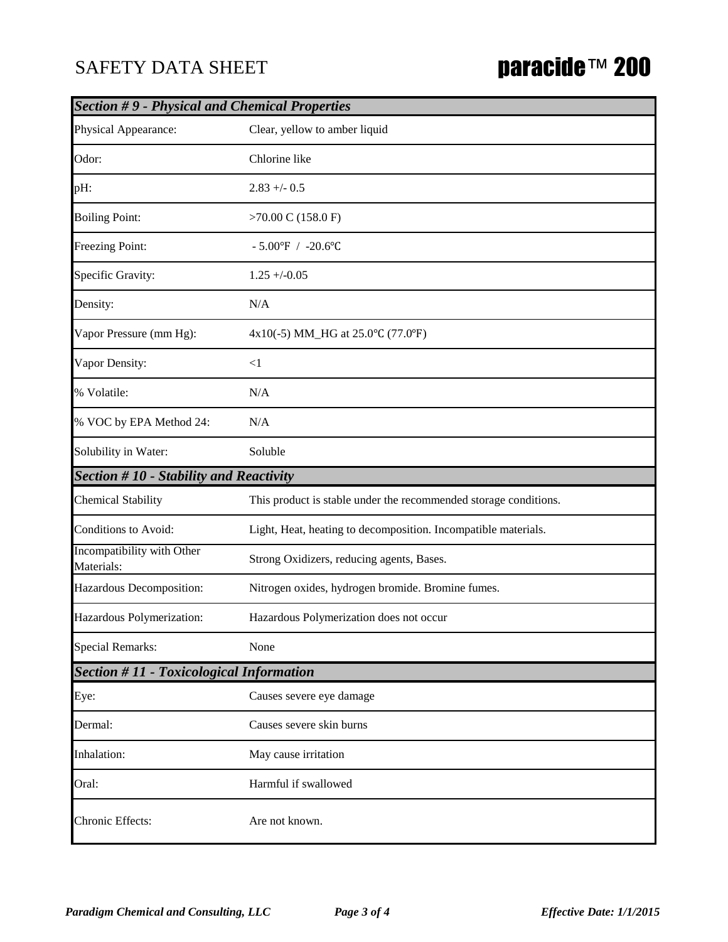#### SAFETY DATA SHEET

## paracide™ 200

| <b>Section #9 - Physical and Chemical Properties</b> |                                                                  |  |  |  |
|------------------------------------------------------|------------------------------------------------------------------|--|--|--|
| Physical Appearance:                                 | Clear, yellow to amber liquid                                    |  |  |  |
| Odor:                                                | Chlorine like                                                    |  |  |  |
| pH:                                                  | $2.83 + -0.5$                                                    |  |  |  |
| <b>Boiling Point:</b>                                | $>70.00$ C (158.0 F)                                             |  |  |  |
| Freezing Point:                                      | $-5.00^{\circ}$ F / $-20.6^{\circ}$ C                            |  |  |  |
| Specific Gravity:                                    | $1.25 + (-0.05)$                                                 |  |  |  |
| Density:                                             | N/A                                                              |  |  |  |
| Vapor Pressure (mm Hg):                              | 4x10(-5) MM_HG at 25.0°C (77.0°F)                                |  |  |  |
| Vapor Density:                                       | $\leq$ 1                                                         |  |  |  |
| % Volatile:                                          | N/A                                                              |  |  |  |
| % VOC by EPA Method 24:                              | N/A                                                              |  |  |  |
| Solubility in Water:                                 | Soluble                                                          |  |  |  |
| <b>Section #10 - Stability and Reactivity</b>        |                                                                  |  |  |  |
| <b>Chemical Stability</b>                            | This product is stable under the recommended storage conditions. |  |  |  |
| Conditions to Avoid:                                 | Light, Heat, heating to decomposition. Incompatible materials.   |  |  |  |
| Incompatibility with Other<br>Materials:             | Strong Oxidizers, reducing agents, Bases.                        |  |  |  |
| Hazardous Decomposition:                             | Nitrogen oxides, hydrogen bromide. Bromine fumes.                |  |  |  |
| Hazardous Polymerization:                            | Hazardous Polymerization does not occur                          |  |  |  |
| <b>Special Remarks:</b>                              | None                                                             |  |  |  |
| <b>Section #11 - Toxicological Information</b>       |                                                                  |  |  |  |
| Eye:                                                 | Causes severe eye damage                                         |  |  |  |
| Dermal:                                              | Causes severe skin burns                                         |  |  |  |
| Inhalation:                                          | May cause irritation                                             |  |  |  |
| Oral:                                                | Harmful if swallowed                                             |  |  |  |
| Chronic Effects:                                     | Are not known.                                                   |  |  |  |